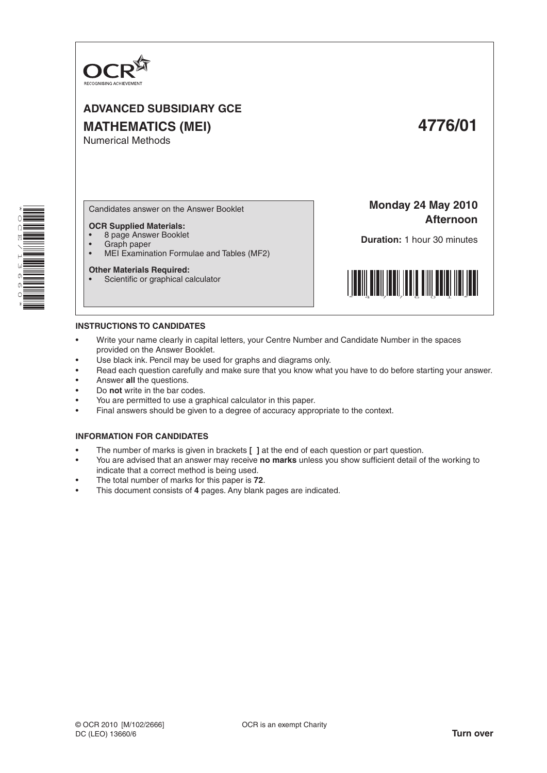

# **ADVANCED SUBSIDIARY GCE MATHEMATICS (MEI) 4776/01** Numerical Methods

\* O<br>Q E  $\checkmark$  $\overline{a}$ W<br>01<br>01 0 \*

Candidates answer on the Answer Booklet

#### **OCR Supplied Materials:**

- 8 page Answer Booklet
- Graph paper<br>• MELExaming
- MEI Examination Formulae and Tables (MF2)

#### **Other Materials Required:**

Scientific or graphical calculator

**Monday 24 May 2010 Afternoon**

**Duration:** 1 hour 30 minutes



## **INSTRUCTIONS TO CANDIDATES**

- Write your name clearly in capital letters, your Centre Number and Candidate Number in the spaces provided on the Answer Booklet.
- Use black ink. Pencil may be used for graphs and diagrams only.
- Read each question carefully and make sure that you know what you have to do before starting your answer.
- Answer **all** the questions.
- Do **not** write in the bar codes.
- You are permitted to use a graphical calculator in this paper.
- Final answers should be given to a degree of accuracy appropriate to the context.

#### **INFORMATION FOR CANDIDATES**

- The number of marks is given in brackets **[ ]** at the end of each question or part question.
- You are advised that an answer may receive no marks unless you show sufficient detail of the working to indicate that a correct method is being used.
- The total number of marks for this paper is 72.
- This document consists of 4 pages. Any blank pages are indicated.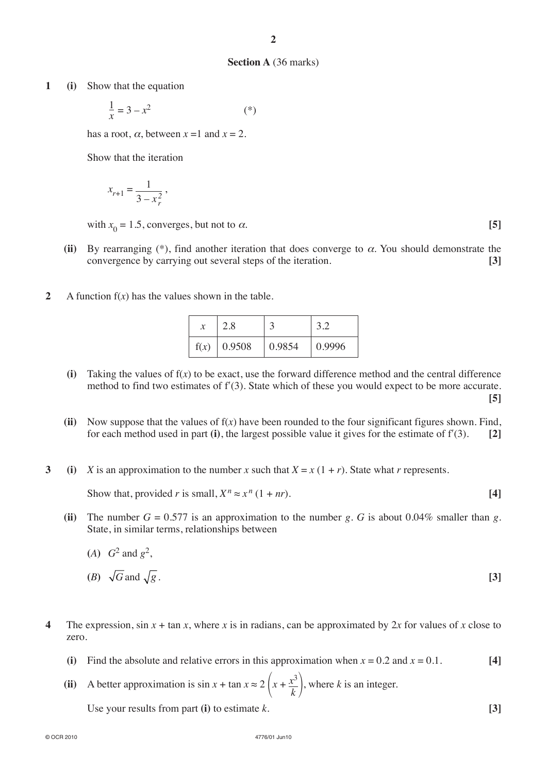#### **Section A** (36 marks)

**1 (i)** Show that the equation

$$
\frac{1}{x} = 3 - x^2 \tag{*}
$$

has a root,  $\alpha$ , between  $x = 1$  and  $x = 2$ .

Show that the iteration

$$
x_{r+1} = \frac{1}{3 - x_r^2},
$$

with  $x_0 = 1.5$ , converges, but not to  $\alpha$ . **[5]** 

- (ii) By rearranging  $(*)$ , find another iteration that does converge to  $\alpha$ . You should demonstrate the convergence by carrying out several steps of the iteration. **[3]**
- **2** A function  $f(x)$  has the values shown in the table.

|      | 2.8    |        |        |
|------|--------|--------|--------|
| f(x) | 0.9508 | 0.9854 | 0.9996 |

- **(i)** Taking the values of f(*x*) to be exact, use the forward difference method and the central difference method to find two estimates of f′(3). State which of these you would expect to be more accurate. **[5]**
- (ii) Now suppose that the values of  $f(x)$  have been rounded to the four significant figures shown. Find, for each method used in part (i), the largest possible value it gives for the estimate of  $f'(3)$ . [2]
- **3 (i)** *X* is an approximation to the number *x* such that  $X = x(1 + r)$ . State what *r* represents.

Show that, provided *r* is small,  $X^n \approx x^n (1 + nr)$ . [4]

**(ii)** The number  $G = 0.577$  is an approximation to the number g. G is about 0.04% smaller than g. State, in similar terms, relationships between

(A) 
$$
G^2
$$
 and  $g^2$ ,  
\n(B)  $\sqrt{G}$  and  $\sqrt{g}$ .  
\n[3]

- **4** The expression,  $\sin x + \tan x$ , where *x* is in radians, can be approximated by 2*x* for values of *x* close to zero.
	- **(i)** Find the absolute and relative errors in this approximation when  $x = 0.2$  and  $x = 0.1$ . [4]
	- (ii) A better approximation is  $\sin x + \tan x \approx 2\left(x + \frac{x^3}{k}\right)$ , where *k* is an integer.

Use your results from part **(i)** to estimate *k*. **[3]**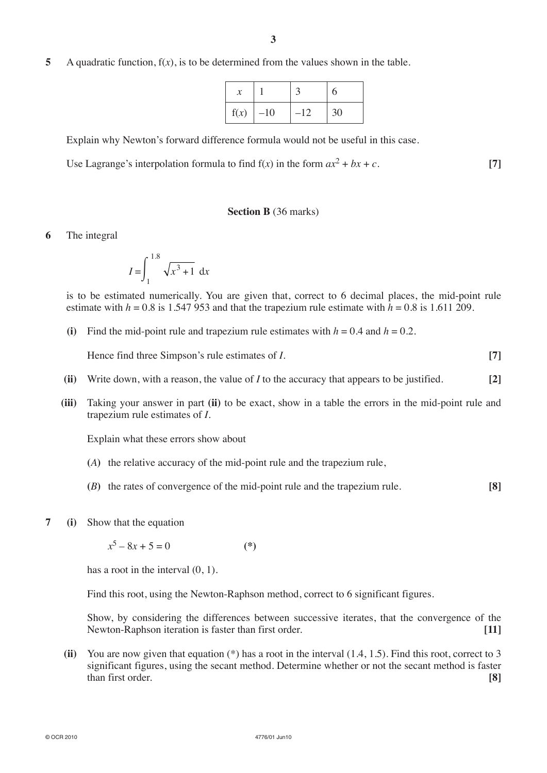**5** A quadratic function, f(*x*), is to be determined from the values shown in the table.

|      |       |       | h  |
|------|-------|-------|----|
| f(x) | $-10$ | $-12$ | 30 |

Explain why Newton's forward difference formula would not be useful in this case.

Use Lagrange's interpolation formula to find  $f(x)$  in the form  $ax^2 + bx + c$ . [7]

## **Section B** (36 marks)

**6** The integral

$$
I = \int_{1}^{1.8} \sqrt{x^3 + 1} \, dx
$$

is to be estimated numerically. You are given that, correct to 6 decimal places, the mid-point rule estimate with  $h = 0.8$  is 1.547 953 and that the trapezium rule estimate with  $h = 0.8$  is 1.611 209.

**(i)** Find the mid-point rule and trapezium rule estimates with  $h = 0.4$  and  $h = 0.2$ .

 **Hence find three Simpson's rule estimates of** *I***. [7]** 

- **(ii)** Write down, with a reason, the value of *I* to the accuracy that appears to be justified. **[2]**
- **(iii)** Taking your answer in part **(ii)** to be exact, show in a table the errors in the mid-point rule and trapezium rule estimates of *I*.

Explain what these errors show about

- **(***A***)** the relative accuracy of the mid-point rule and the trapezium rule,
- **(***B***)** the rates of convergence of the mid-point rule and the trapezium rule. **[8]**
- **7 (i)** Show that the equation

 $x^5 - 8x + 5 = 0$  (\*)

has a root in the interval  $(0, 1)$ .

Find this root, using the Newton-Raphson method, correct to 6 significant figures.

 Show, by considering the differences between successive iterates, that the convergence of the Newton-Raphson iteration is faster than first order. **[11]**

**(ii)** You are now given that equation (\*) has a root in the interval (1.4, 1.5). Find this root, correct to 3 significant figures, using the secant method. Determine whether or not the secant method is faster than first order. **[8]**